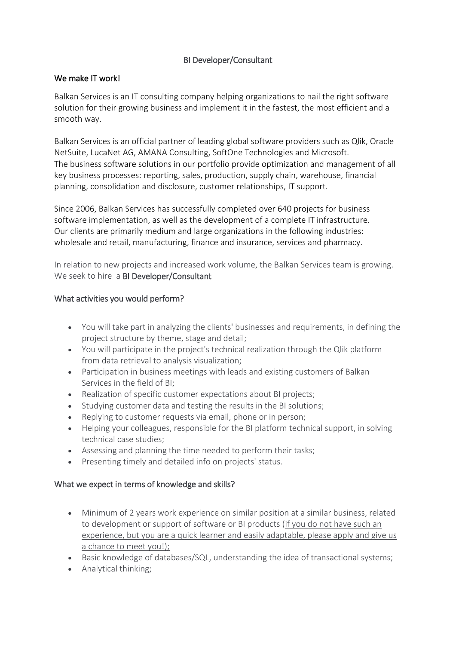# BI Developer/Consultant

### We make IT work!

Balkan Services is an IT consulting company helping organizations to nail the right software solution for their growing business and implement it in the fastest, the most efficient and a smooth way.

Balkan Services is an official partner of leading global software providers such as Qlik, Oracle NetSuite, LucaNet AG, AMANA Consulting, SoftOne Technologies and Microsoft. The business software solutions in our portfolio provide optimization and management of all key business processes: reporting, sales, production, supply chain, warehouse, financial planning, consolidation and disclosure, customer relationships, IT support.

Since 2006, Balkan Services has successfully completed over 640 projects for business software implementation, as well as the development of a complete IT infrastructure. Our clients are primarily medium and large organizations in the following industries: wholesale and retail, manufacturing, finance and insurance, services and pharmacy.

In relation to new projects and increased work volume, the Balkan Services team is growing. We seek to hire a BI Developer/Consultant

# What activities you would perform?

- You will take part in analyzing the clients' businesses and requirements, in defining the project structure by theme, stage and detail;
- You will participate in the project's technical realization through the Qlik platform from data retrieval to analysis visualization;
- Participation in business meetings with leads and existing customers of Balkan Services in the field of BI;
- Realization of specific customer expectations about BI projects;
- Studying customer data and testing the results in the BI solutions;
- Replying to customer requests via email, phone or in person;
- Helping your colleagues, responsible for the BI platform technical support, in solving technical case studies;
- Assessing and planning the time needed to perform their tasks;
- Presenting timely and detailed info on projects' status.

### What we expect in terms of knowledge and skills?

- Minimum of 2 years work experience on similar position at a similar business, related to development or support of software or BI products (if you do not have such an experience, but you are a quick learner and easily adaptable, please apply and give us a chance to meet you!);
- Basic knowledge of databases/SQL, understanding the idea of transactional systems;
- Analytical thinking;